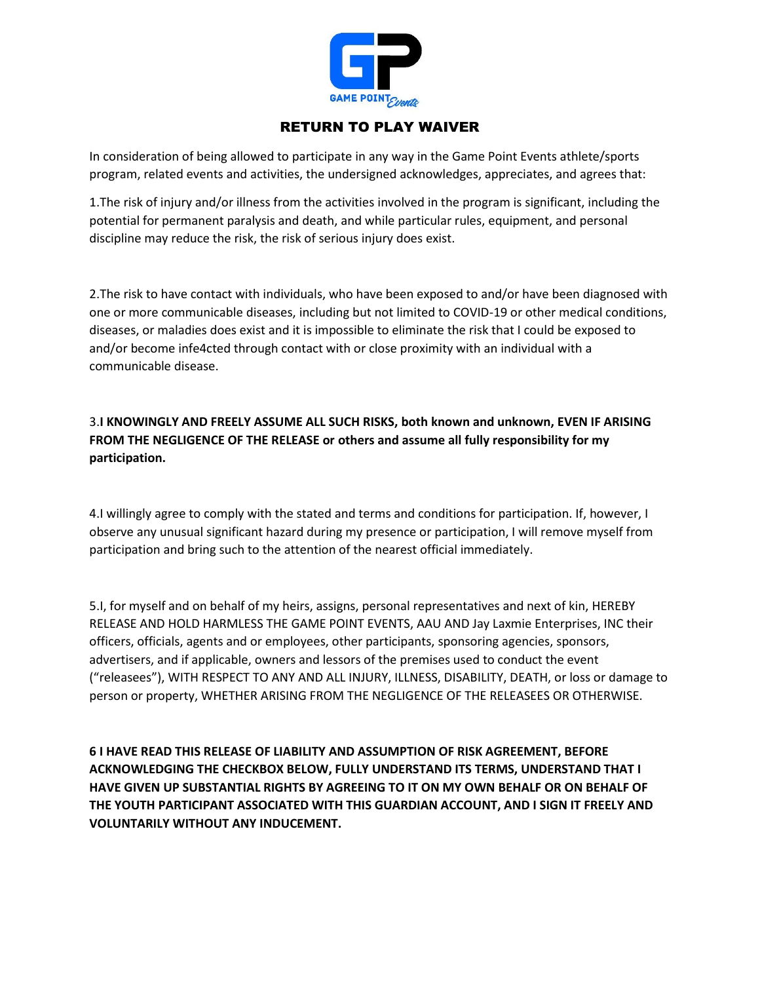

## RETURN TO PLAY WAIVER

In consideration of being allowed to participate in any way in the Game Point Events athlete/sports program, related events and activities, the undersigned acknowledges, appreciates, and agrees that:

1.The risk of injury and/or illness from the activities involved in the program is significant, including the potential for permanent paralysis and death, and while particular rules, equipment, and personal discipline may reduce the risk, the risk of serious injury does exist.

2.The risk to have contact with individuals, who have been exposed to and/or have been diagnosed with one or more communicable diseases, including but not limited to COVID-19 or other medical conditions, diseases, or maladies does exist and it is impossible to eliminate the risk that I could be exposed to and/or become infe4cted through contact with or close proximity with an individual with a communicable disease.

3.**I KNOWINGLY AND FREELY ASSUME ALL SUCH RISKS, both known and unknown, EVEN IF ARISING FROM THE NEGLIGENCE OF THE RELEASE or others and assume all fully responsibility for my participation.**

4.I willingly agree to comply with the stated and terms and conditions for participation. If, however, I observe any unusual significant hazard during my presence or participation, I will remove myself from participation and bring such to the attention of the nearest official immediately.

5.I, for myself and on behalf of my heirs, assigns, personal representatives and next of kin, HEREBY RELEASE AND HOLD HARMLESS THE GAME POINT EVENTS, AAU AND Jay Laxmie Enterprises, INC their officers, officials, agents and or employees, other participants, sponsoring agencies, sponsors, advertisers, and if applicable, owners and lessors of the premises used to conduct the event ("releasees"), WITH RESPECT TO ANY AND ALL INJURY, ILLNESS, DISABILITY, DEATH, or loss or damage to person or property, WHETHER ARISING FROM THE NEGLIGENCE OF THE RELEASEES OR OTHERWISE.

**6 I HAVE READ THIS RELEASE OF LIABILITY AND ASSUMPTION OF RISK AGREEMENT, BEFORE ACKNOWLEDGING THE CHECKBOX BELOW, FULLY UNDERSTAND ITS TERMS, UNDERSTAND THAT I HAVE GIVEN UP SUBSTANTIAL RIGHTS BY AGREEING TO IT ON MY OWN BEHALF OR ON BEHALF OF THE YOUTH PARTICIPANT ASSOCIATED WITH THIS GUARDIAN ACCOUNT, AND I SIGN IT FREELY AND VOLUNTARILY WITHOUT ANY INDUCEMENT.**